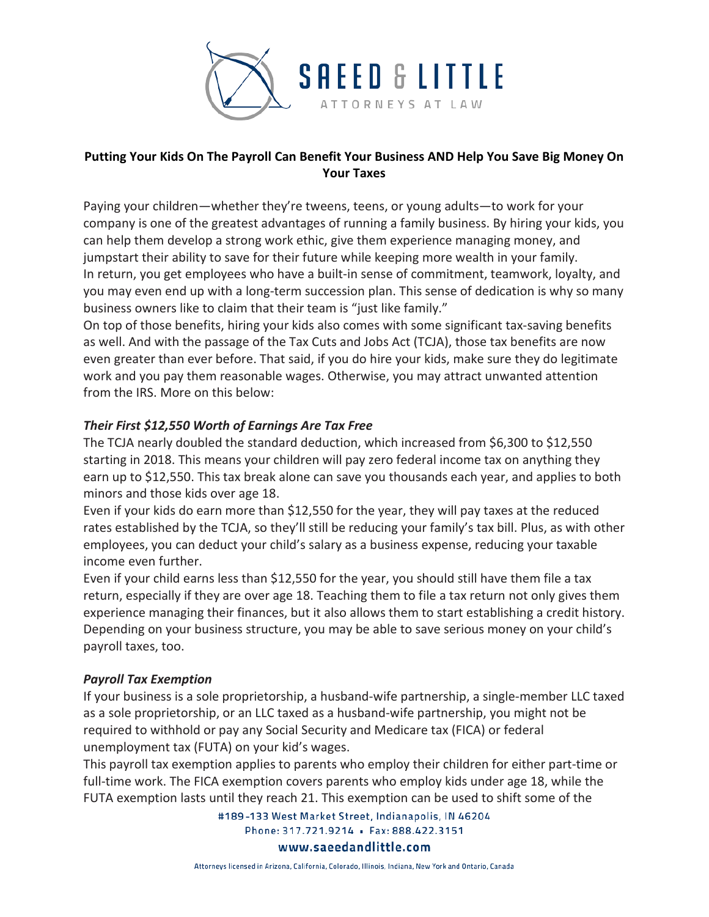

# **Putting Your Kids On The Payroll Can Benefit Your Business AND Help You Save Big Money On Your Taxes**

Paying your children—whether they're tweens, teens, or young adults—to work for your company is one of the greatest advantages of running a family business. By hiring your kids, you can help them develop a strong work ethic, give them experience managing money, and jumpstart their ability to save for their future while keeping more wealth in your family. In return, you get employees who have a built-in sense of commitment, teamwork, loyalty, and you may even end up with a long-term succession plan. This sense of dedication is why so many business owners like to claim that their team is "just like family."

On top of those benefits, hiring your kids also comes with some significant tax-saving benefits as well. And with the passage of the Tax Cuts and Jobs Act (TCJA), those tax benefits are now even greater than ever before. That said, if you do hire your kids, make sure they do legitimate work and you pay them reasonable wages. Otherwise, you may attract unwanted attention from the IRS. More on this below:

# *Their First \$12,550 Worth of Earnings Are Tax Free*

The TCJA nearly doubled the standard deduction, which increased from \$6,300 to \$12,550 starting in 2018. This means your children will pay zero federal income tax on anything they earn up to \$12,550. This tax break alone can save you thousands each year, and applies to both minors and those kids over age 18.

Even if your kids do earn more than \$12,550 for the year, they will pay taxes at the reduced rates established by the TCJA, so they'll still be reducing your family's tax bill. Plus, as with other employees, you can deduct your child's salary as a business expense, reducing your taxable income even further.

Even if your child earns less than \$12,550 for the year, you should still have them file a tax return, especially if they are over age 18. Teaching them to file a tax return not only gives them experience managing their finances, but it also allows them to start establishing a credit history. Depending on your business structure, you may be able to save serious money on your child's payroll taxes, too.

## *Payroll Tax Exemption*

If your business is a sole proprietorship, a husband-wife partnership, a single-member LLC taxed as a sole proprietorship, or an LLC taxed as a husband-wife partnership, you might not be required to withhold or pay any Social Security and Medicare tax (FICA) or federal unemployment tax (FUTA) on your kid's wages.

This payroll tax exemption applies to parents who employ their children for either part-time or full-time work. The FICA exemption covers parents who employ kids under age 18, while the FUTA exemption lasts until they reach 21. This exemption can be used to shift some of the

> #189-133 West Market Street, Indianapolis, IN 46204 Phone: 317.721.9214 · Fax: 888.422.3151 www.saeedandlittle.com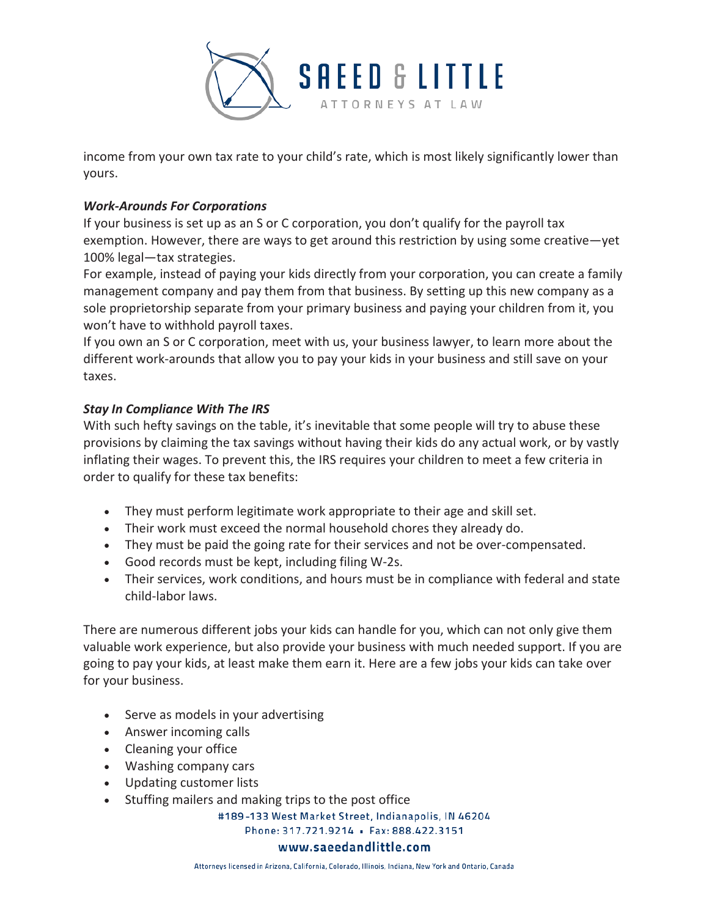

income from your own tax rate to your child's rate, which is most likely significantly lower than yours.

### *Work-Arounds For Corporations*

If your business is set up as an S or C corporation, you don't qualify for the payroll tax exemption. However, there are ways to get around this restriction by using some creative—yet 100% legal—tax strategies.

For example, instead of paying your kids directly from your corporation, you can create a family management company and pay them from that business. By setting up this new company as a sole proprietorship separate from your primary business and paying your children from it, you won't have to withhold payroll taxes.

If you own an S or C corporation, meet with us, your business lawyer, to learn more about the different work-arounds that allow you to pay your kids in your business and still save on your taxes.

#### *Stay In Compliance With The IRS*

With such hefty savings on the table, it's inevitable that some people will try to abuse these provisions by claiming the tax savings without having their kids do any actual work, or by vastly inflating their wages. To prevent this, the IRS requires your children to meet a few criteria in order to qualify for these tax benefits:

- They must perform legitimate work appropriate to their age and skill set.
- Their work must exceed the normal household chores they already do.
- They must be paid the going rate for their services and not be over-compensated.
- Good records must be kept, including filing W-2s.
- Their services, work conditions, and hours must be in compliance with federal and state child-labor laws.

There are numerous different jobs your kids can handle for you, which can not only give them valuable work experience, but also provide your business with much needed support. If you are going to pay your kids, at least make them earn it. Here are a few jobs your kids can take over for your business.

- Serve as models in your advertising
- Answer incoming calls
- Cleaning your office
- Washing company cars
- Updating customer lists
- Stuffing mailers and making trips to the post office

#189-133 West Market Street, Indianapolis, IN 46204

Phone: 317.721.9214 · Fax: 888.422.3151

#### www.saeedandlittle.com